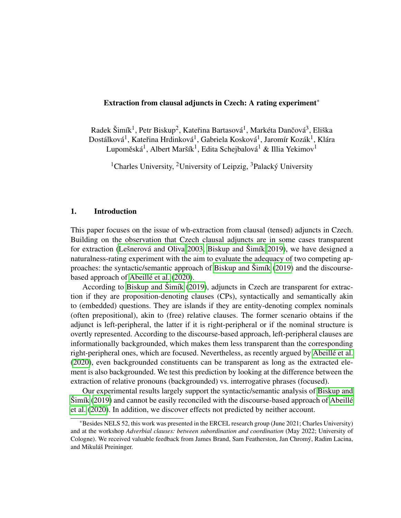#### Extraction from clausal adjuncts in Czech: A rating experiment\*

Radek Šimík<sup>1</sup>, Petr Biskup<sup>2</sup>, Kateřina Bartasová<sup>1</sup>, Markéta Dančová<sup>3</sup>, Eliška Dostálková<sup>1</sup>, Kateřina Hrdinková<sup>1</sup>, Gabriela Kosková<sup>1</sup>, Jaromír Kozák<sup>1</sup>, Klára Lupoměská $^1$ , Albert Maršík $^1$ , Edita Schejbalová $^1$  & Illia Yekimov $^1$ 

<sup>1</sup>Charles University, <sup>2</sup>University of Leipzig, <sup>3</sup>Palacký University

#### 1. Introduction

This paper focuses on the issue of wh-extraction from clausal (tensed) adjuncts in Czech. Building on the observation that Czech clausal adjuncts are in some cases transparent for extraction (Lešnerová and Oliva 2003, [Biskup and](#page-10-0) Šimík [2019\)](#page-10-0), we have designed a naturalness-rating experiment with the aim to evaluate the adequacy of two competing ap-proaches: the syntactic/semantic approach of [Biskup and](#page-10-0)  $\text{Simf}$  [\(2019\)](#page-10-0) and the discourse-based approach of Abeillé et al. [\(2020\)](#page-10-1).

According to [Biskup and](#page-10-0) Šimík [\(2019\)](#page-10-0), adjuncts in Czech are transparent for extraction if they are proposition-denoting clauses (CPs), syntactically and semantically akin to (embedded) questions. They are islands if they are entity-denoting complex nominals (often prepositional), akin to (free) relative clauses. The former scenario obtains if the adjunct is left-peripheral, the latter if it is right-peripheral or if the nominal structure is overtly represented. According to the discourse-based approach, left-peripheral clauses are informationally backgrounded, which makes them less transparent than the corresponding right-peripheral ones, which are focused. Nevertheless, as recently argued by Abeillé et al. [\(2020\)](#page-10-1), even backgrounded constituents can be transparent as long as the extracted element is also backgrounded. We test this prediction by looking at the difference between the extraction of relative pronouns (backgrounded) vs. interrogative phrases (focused).

Our experimental results largely support the syntactic/semantic analysis of [Biskup and](#page-10-0)  $\text{Simik}$  [\(2019\)](#page-10-0) and cannot be easily reconciled with the discourse-based approach of Abeillé [et al.](#page-10-1) [\(2020\)](#page-10-1). In addition, we discover effects not predicted by neither account.

<sup>\*</sup>Besides NELS 52, this work was presented in the ERCEL research group (June 2021; Charles University) and at the workshop *Adverbial clauses: between subordination and coordination* (May 2022; University of Cologne). We received valuable feedback from James Brand, Sam Featherston, Jan Chromy, Radim Lacina, ´ and Mikuláš Preininger.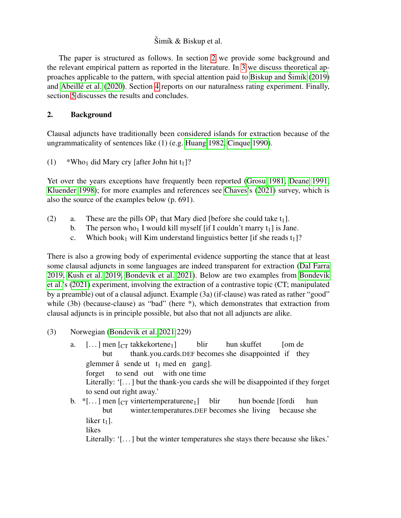The paper is structured as follows. In section [2](#page-1-0) we provide some background and the relevant empirical pattern as reported in the literature. In [3](#page-3-0) we discuss theoretical ap-proaches applicable to the pattern, with special attention paid to [Biskup and](#page-10-0)  $\text{Simf}(2019)$  $\text{Simf}(2019)$ and Abeillé et al. [\(2020\)](#page-10-1). Section [4](#page-5-0) reports on our naturalness rating experiment. Finally, section [5](#page-8-0) discusses the results and concludes.

## <span id="page-1-0"></span>2. Background

Clausal adjuncts have traditionally been considered islands for extraction because of the ungrammaticality of sentences like (1) (e.g. [Huang 1982,](#page-12-1) [Cinque 1990\)](#page-11-0).

(1) \*Who<sub>1</sub> did Mary cry [after John hit  $t_1$ ]?

Yet over the years exceptions have frequently been reported [\(Grosu 1981,](#page-12-2) [Deane 1991,](#page-11-1) [Kluender 1998\)](#page-12-3); for more examples and references see [Chaves'](#page-11-2)s [\(2021\)](#page-11-2) survey, which is also the source of the examples below (p. 691).

- (2) a. These are the pills  $OP_1$  that Mary died [before she could take  $t_1$ ].
	- b. The person who<sub>1</sub> I would kill myself [if I couldn't marry  $t_1$ ] is Jane.
	- c. Which book<sub>1</sub> will Kim understand linguistics better [if she reads  $t_1$ ]?

There is also a growing body of experimental evidence supporting the stance that at least some clausal adjuncts in some languages are indeed transparent for extraction [\(Dal Farra](#page-11-3) [2019,](#page-11-3) [Kush et al. 2019,](#page-12-4) [Bondevik et al. 2021\)](#page-11-4). Below are two examples from [Bondevik](#page-11-4) [et al.'](#page-11-4)s [\(2021\)](#page-11-4) experiment, involving the extraction of a contrastive topic (CT; manipulated by a preamble) out of a clausal adjunct. Example (3a) (if-clause) was rated as rather "good" while (3b) (because-clause) as "bad" (here \*), which demonstrates that extraction from clausal adjuncts is in principle possible, but also that not all adjuncts are alike.

- (3) Norwegian [\(Bondevik et al. 2021:](#page-11-4)229)
	- a. [...] men [<sub>CT</sub> takkekortene<sub>1</sub>] but thank.you.cards.DEF becomes she disappointed if they blir hun skuffet [om de glemmer å sende ut t<sub>1</sub> med en gang]. forget to send out with one time Literally: '[...] but the thank-you cards she will be disappointed if they forget to send out right away.'
	- b.  $*$ [...] men [<sub>CT</sub> vintertemperaturene<sub>1</sub>] but winter.temperatures.DEF becomes she living because she blir hun boende [fordi hun liker  $t_1$ ]. likes

Literally: '[...] but the winter temperatures she stays there because she likes.'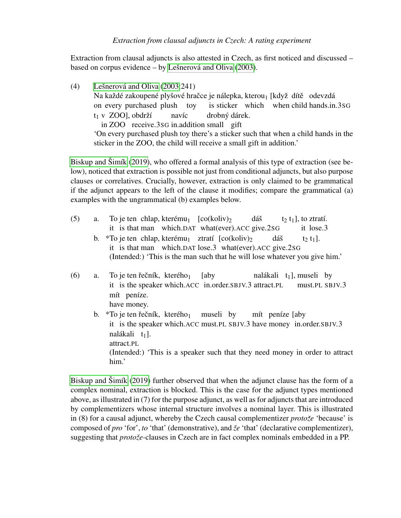Extraction from clausal adjuncts is also attested in Czech, as first noticed and discussed – based on corpus evidence  $-$  by Lešnerová and Oliva [\(2003\)](#page-12-0).

(4) Lešnerová and Oliva  $(2003:241)$  $(2003:241)$ Na každé zakoupené plyšové hračce je nálepka, kterou<sub>1</sub> [když dítě) odevzdá on every purchased plush toy is sticker which when child hands.in.3SG  $t_1$  v ZOO], obdrží in ZOO receive.3SG in.addition small gift navíc drobný dárek. 'On every purchased plush toy there's a sticker such that when a child hands in the sticker in the ZOO, the child will receive a small gift in addition.'

[Biskup and](#page-10-0)  $\text{Simf}(2019)$  $\text{Simf}(2019)$ , who offered a formal analysis of this type of extraction (see below), noticed that extraction is possible not just from conditional adjuncts, but also purpose clauses or correlatives. Crucially, however, extraction is only claimed to be grammatical if the adjunct appears to the left of the clause it modifies; compare the grammatical (a) examples with the ungrammatical (b) examples below.

- $(5)$  a. it is that man which.DAT what(ever).ACC give.2SG je ten chlap, kterému<sub>1</sub> [co(koliv)<sub>2</sub> dáš  $t_2$   $t_1$ ], to ztratí. it lose.3
	- b. \*To je ten chlap, kterému<sub>1</sub> ztratí [co(koliv)<sub>2</sub> it is that man which.DAT lose.3 what(ever).ACC give.2SG dáš t<sub>2</sub> t<sub>1</sub>]. (Intended:) 'This is the man such that he will lose whatever you give him.'
- $(6)$  a. it is the speaker which.ACC in.order.SBJV.3 attract.PL je ten řečník, kterého<sub>1</sub> [aby nalákali  $t_1$ ], museli by must.PL SBJV.3 mít peníze. have money.
	- b.  $*$ To je ten řečník, kterého<sub>1</sub> it is the speaker which.ACC must.PL SBJV.3 have money in.order.SBJV.3 museli by mít peníze [aby nalákali t<sub>1</sub>]. attract.PL (Intended:) 'This is a speaker such that they need money in order to attract him.'

<span id="page-2-0"></span>[Biskup and](#page-10-0)  $\text{Simf}(2019)$  $\text{Simf}(2019)$  further observed that when the adjunct clause has the form of a complex nominal, extraction is blocked. This is the case for the adjunct types mentioned above, as illustrated in (7) for the purpose adjunct, as well as for adjuncts that are introduced by complementizers whose internal structure involves a nominal layer. This is illustrated in (8) for a causal adjunct, whereby the Czech causal complementizer *protože* 'because' is composed of *pro* 'for', *to* 'that' (demonstrative), and  $\zeta e$  'that' (declarative complementizer), suggesting that *protoze*-clauses in Czech are in fact complex nominals embedded in a PP.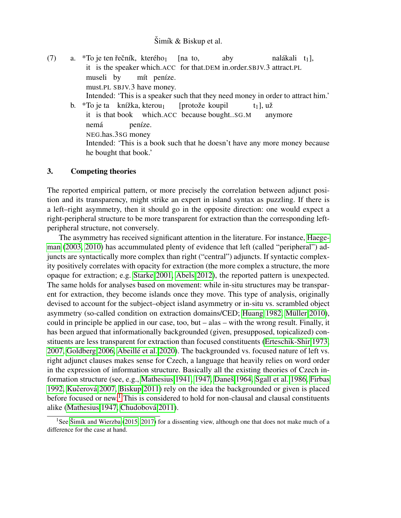- (7) a.  $*$ To je ten řečník, kterého<sub>1</sub> it is the speaker which.ACC for that.DEM in.order.SBJV.3 attract.PL [na to, aby nalákali t<sub>1</sub>], museli by must.PL SBJV.3 have money. mít peníze. Intended: 'This is a speaker such that they need money in order to attract him.' b.  $*$ To je ta knížka, kterou<sub>1</sub> [protože koupil  $t_1$ ], už
	- it is that book which.ACC because bought..SG.M anymore nemá NEG.has.3SG money peníze. Intended: 'This is a book such that he doesn't have any more money because he bought that book.'

#### <span id="page-3-0"></span>3. Competing theories

The reported empirical pattern, or more precisely the correlation between adjunct position and its transparency, might strike an expert in island syntax as puzzling. If there is a left–right asymmetry, then it should go in the opposite direction: one would expect a right-peripheral structure to be more transparent for extraction than the corresponding leftperipheral structure, not conversely.

The asymmetry has received significant attention in the literature. For instance, [Haege](#page-12-5)[man](#page-12-5) [\(2003,](#page-12-5) [2010\)](#page-12-6) has accummulated plenty of evidence that left (called "peripheral") adjuncts are syntactically more complex than right ("central") adjuncts. If syntactic complexity positively correlates with opacity for extraction (the more complex a structure, the more opaque for extraction; e.g. [Starke 2001,](#page-13-0) [Abels 2012\)](#page-10-2), the reported pattern is unexpected. The same holds for analyses based on movement: while in-situ structures may be transparent for extraction, they become islands once they move. This type of analysis, originally devised to account for the subject–object island asymmetry or in-situ vs. scrambled object asymmetry (so-called condition on extraction domains/CED; [Huang 1982,](#page-12-1) Müller 2010), could in principle be applied in our case, too, but – alas – with the wrong result. Finally, it has been argued that informationally backgrounded (given, presupposed, topicalized) constituents are less transparent for extraction than focused constituents [\(Erteschik-Shir 1973,](#page-11-5) [2007,](#page-11-6) [Goldberg 2006,](#page-12-8) Abeillé et al. 2020). The backgrounded vs. focused nature of left vs. right adjunct clauses makes sense for Czech, a language that heavily relies on word order in the expression of information structure. Basically all the existing theories of Czech in-formation structure (see, e.g., [Mathesius 1941,](#page-12-9) [1947,](#page-12-10) Daneš 1964, [Sgall et al. 1986,](#page-13-1) [Firbas](#page-12-11) [1992,](#page-12-11) Kučerová [2007,](#page-12-12) [Biskup 2011\)](#page-10-3) rely on the idea the backgrounded or given is placed before focused or new.<sup>[1](#page-3-1)</sup> This is considered to hold for non-clausal and clausal constituents alike [\(Mathesius 1947,](#page-12-10) Chudobová 2011).

<span id="page-3-1"></span><sup>&</sup>lt;sup>1</sup>See Šimík and Wierzba [\(2015,](#page-13-2) [2017\)](#page-13-3) for a dissenting view, although one that does not make much of a difference for the case at hand.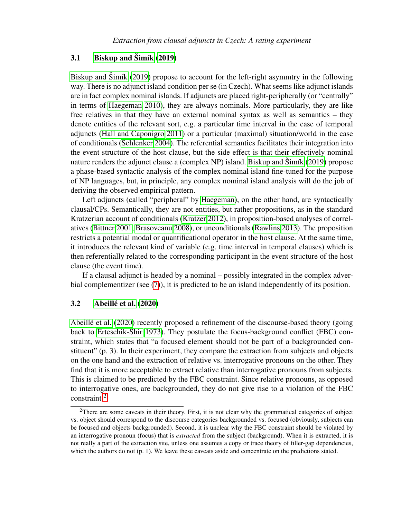## 3.1 [Biskup and](#page-10-0)  $\text{Simík} (2019)$  $\text{Simík} (2019)$

[Biskup and](#page-10-0)  $\tilde{\text{S}}$ imík [\(2019\)](#page-10-0) propose to account for the left-right asymmtry in the following way. There is no adjunct island condition per se (in Czech). What seems like adjunct islands are in fact complex nominal islands. If adjuncts are placed right-peripherally (or "centrally" in terms of [Haegeman 2010\)](#page-12-6), they are always nominals. More particularly, they are like free relatives in that they have an external nominal syntax as well as semantics – they denote entities of the relevant sort, e.g. a particular time interval in the case of temporal adjuncts [\(Hall and Caponigro 2011\)](#page-12-13) or a particular (maximal) situation/world in the case of conditionals [\(Schlenker 2004\)](#page-13-4). The referential semantics facilitates their integration into the event structure of the host clause, but the side effect is that their effectively nominal nature renders the adjunct clause a (complex NP) island. [Biskup and](#page-10-0)  $\tilde{S}$ imík [\(2019\)](#page-10-0) propose a phase-based syntactic analysis of the complex nominal island fine-tuned for the purpose of NP languages, but, in principle, any complex nominal island analysis will do the job of deriving the observed empirical pattern.

Left adjuncts (called "peripheral" by [Haegeman\)](#page-12-6), on the other hand, are syntactically clausal/CPs. Semantically, they are not entities, but rather propositions, as in the standard Kratzerian account of conditionals [\(Kratzer 2012\)](#page-12-14), in proposition-based analyses of correlatives [\(Bittner 2001,](#page-11-9) [Brasoveanu 2008\)](#page-11-10), or unconditionals [\(Rawlins 2013\)](#page-13-5). The proposition restricts a potential modal or quantificational operator in the host clause. At the same time, it introduces the relevant kind of variable (e.g. time interval in temporal clauses) which is then referentially related to the corresponding participant in the event structure of the host clause (the event time).

If a clausal adjunct is headed by a nominal – possibly integrated in the complex adverbial complementizer (see [\(7\)](#page-2-0)), it is predicted to be an island independently of its position.

#### 3.2 Abeillé et al. [\(2020\)](#page-10-1)

Abeillé et al. [\(2020\)](#page-10-1) recently proposed a refinement of the discourse-based theory (going back to [Erteschik-Shir 1973\)](#page-11-5). They postulate the focus-background conflict (FBC) constraint, which states that "a focused element should not be part of a backgrounded constituent" (p. 3). In their experiment, they compare the extraction from subjects and objects on the one hand and the extraction of relative vs. interrogative pronouns on the other. They find that it is more acceptable to extract relative than interrogative pronouns from subjects. This is claimed to be predicted by the FBC constraint. Since relative pronouns, as opposed to interrogative ones, are backgrounded, they do not give rise to a violation of the FBC constraint.[2](#page-4-0)

<span id="page-4-0"></span><sup>&</sup>lt;sup>2</sup>There are some caveats in their theory. First, it is not clear why the grammatical categories of subject vs. object should correspond to the discourse categories backgrounded vs. focused (obviously, subjects can be focused and objects backgrounded). Second, it is unclear why the FBC constraint should be violated by an interrogative pronoun (focus) that is *extracted* from the subject (background). When it is extracted, it is not really a part of the extraction site, unless one assumes a copy or trace theory of filler-gap dependencies, which the authors do not (p. 1). We leave these caveats aside and concentrate on the predictions stated.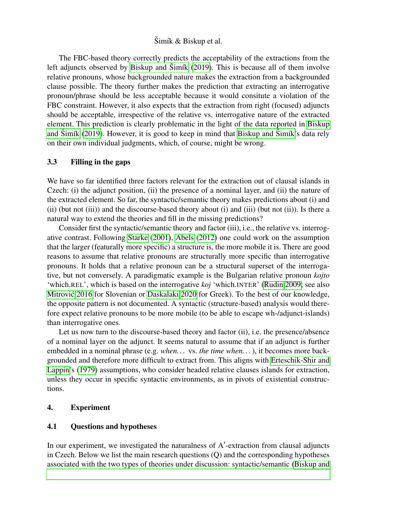The FBC-based theory correctly predicts the acceptability of the extractions from the left adjuncts observed by [Biskup and](#page-10-0)  $\tilde{S}$ imík [\(2019\)](#page-10-0). This is because all of them involve relative pronouns, whose backgrounded nature makes the extraction from a backgrounded clause possible. The theory further makes the prediction that extracting an interrogative pronoun/phrase should be less acceptable because it would consitute a violation of the FBC constraint. However, it also expects that the extraction from right (focused) adjuncts should be acceptable, irrespective of the relative vs. interrogative nature of the extracted element. This prediction is clearly problematic in the light of the data reported in [Biskup](#page-10-0) and  $\text{Simik}$  [\(2019\)](#page-10-0). However, it is good to keep in mind that [Biskup and](#page-10-0)  $\text{Simik's}$  data rely on their own individual judgments, which, of course, might be wrong.

### 3.3 Filling in the gaps

We have so far identified three factors relevant for the extraction out of clausal islands in Czech: (i) the adjunct position, (ii) the presence of a nominal layer, and (ii) the nature of the extracted element. So far, the syntactic/semantic theory makes predictions about (i) and (ii) (but not (iii)) and the discourse-based theory about (i) and (iii) (but not (ii)). Is there a natural way to extend the theories and fill in the missing predictions?

Consider first the syntactic/semantic theory and factor (iii), i.e., the relative vs. interrogative contrast. Following [Starke](#page-13-0) [\(2001\)](#page-13-0), [Abels](#page-10-2) [\(2012\)](#page-10-2) one could work on the assumption that the larger (featurally more specific) a structure is, the more mobile it is. There are good reasons to assume that relative pronouns are structurally more specific than interrogative pronouns. It holds that a relative pronoun can be a structural superset of the interrogative, but not conversely. A paradigmatic example is the Bulgarian relative pronoun *kojto* 'which.REL', which is based on the interrogative *koj* 'which.INTER' [\(Rudin 2009;](#page-13-6) see also Mitrović 2016 for Slovenian or [Daskalaki 2020](#page-11-11) for Greek). To the best of our knowledge, the opposite pattern is not documented. A syntactic (structure-based) analysis would therefore expect relative pronouns to be more mobile (to be able to escape wh-/adjunct-islands) than interrogative ones.

Let us now turn to the discourse-based theory and factor (ii), i.e. the presence/absence of a nominal layer on the adjunct. It seems natural to assume that if an adjunct is further embedded in a nominal phrase (e.g. *when. . .* vs. *the time when. . .*), it becomes more backgrounded and therefore more difficult to extract from. This aligns with [Erteschik-Shir and](#page-11-12) [Lappin'](#page-11-12)s [\(1979\)](#page-11-12) assumptions, who consider headed relative clauses islands for extraction, unless they occur in specific syntactic environments, as in pivots of existential constructions.

#### <span id="page-5-0"></span>4. Experiment

#### 4.1 Questions and hypotheses

In our experiment, we investigated the naturalness of A'-extraction from clausal adjuncts in Czech. Below we list the main research questions (Q) and the corresponding hypotheses associated with the two types of theories under discussion: syntactic/semantic [\(Biskup and](#page-10-0)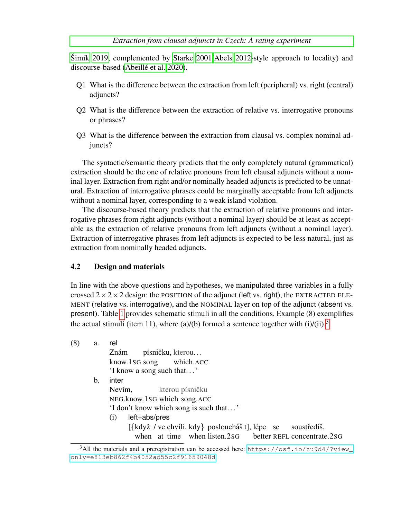#### *[Extraction from clausal adjuncts in Czech: A rating experiment](#page-10-0)*

 $\text{Simfk}$  [2019,](#page-10-0) complemented by [Starke 2001/](#page-13-0)[Abels 2012-](#page-10-2)style approach to locality) and discourse-based (Abeillé et al. 2020).

- Q1 What is the difference between the extraction from left (peripheral) vs. right (central) adjuncts?
- Q2 What is the difference between the extraction of relative vs. interrogative pronouns or phrases?
- Q3 What is the difference between the extraction from clausal vs. complex nominal adjuncts?

The syntactic/semantic theory predicts that the only completely natural (grammatical) extraction should be the one of relative pronouns from left clausal adjuncts without a nominal layer. Extraction from right and/or nominally headed adjuncts is predicted to be unnatural. Extraction of interrogative phrases could be marginally acceptable from left adjuncts without a nominal layer, corresponding to a weak island violation.

The discourse-based theory predicts that the extraction of relative pronouns and interrogative phrases from right adjuncts (without a nominal layer) should be at least as acceptable as the extraction of relative pronouns from left adjuncts (without a nominal layer). Extraction of interrogative phrases from left adjuncts is expected to be less natural, just as extraction from nominally headed adjuncts.

### <span id="page-6-1"></span>4.2 Design and materials

In line with the above questions and hypotheses, we manipulated three variables in a fully crossed  $2 \times 2 \times 2$  design: the POSITION of the adjunct (left vs. right), the EXTRACTED ELE-MENT (relative vs. interrogative), and the NOMINAL layer on top of the adjunct (absent vs. present). Table [1](#page-7-0) provides schematic stimuli in all the conditions. Example (8) exemplifies the actual stimuli (item 11), where (a)/(b) formed a sentence together with (i)/(ii).<sup>[3](#page-6-0)</sup>

| (8) | a. | rel                                                                                               |  |  |
|-----|----|---------------------------------------------------------------------------------------------------|--|--|
|     |    | písničku, kterou<br>Znám                                                                          |  |  |
|     |    | know.1sG song which.ACC                                                                           |  |  |
|     |    | 'I know a song such that'                                                                         |  |  |
|     | b. | inter                                                                                             |  |  |
|     |    | kterou písničku<br>Nevím,                                                                         |  |  |
|     |    | NEG.know.1sG which song.ACC                                                                       |  |  |
|     |    | 'I don't know which song is such that'                                                            |  |  |
|     |    | left+abs/pres<br>$\left( 1 \right)$                                                               |  |  |
|     |    | $[\{\text{když } / \text{ve chvíli}, \text{kdy}\} \text{posloucháš } t]$ , lépe se<br>soustredíš. |  |  |
|     |    | when at time when listen.2sG better REFL concentrate.2sG                                          |  |  |
|     |    |                                                                                                   |  |  |

<span id="page-6-0"></span> $3$ All the materials and a preregistration can be accessed here: [https://osf.io/zu9d4/?view\\_](https://osf.io/zu9d4/?view_only=e813eb862f4b4052ad55c2f91659048d) [only=e813eb862f4b4052ad55c2f91659048d](https://osf.io/zu9d4/?view_only=e813eb862f4b4052ad55c2f91659048d).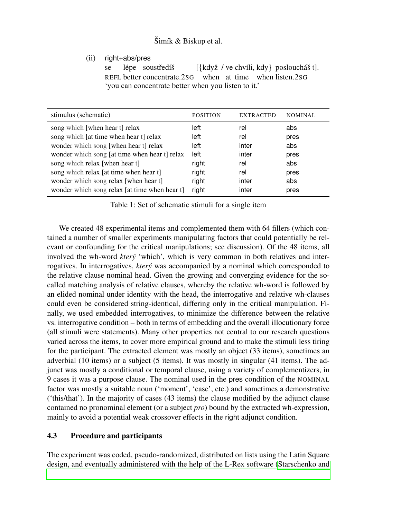(ii) right+abs/pres

se REFL better concentrate.2SG lépe soustředíš [{když / ve chvíli, kdy} posloucháš t]. when at time when listen.2SG 'you can concentrate better when you listen to it.'

| stimulus (schematic)                          | <b>POSITION</b> | <b>EXTRACTED</b> | <b>NOMINAL</b> |
|-----------------------------------------------|-----------------|------------------|----------------|
| song which [when hear t] relax                | left            | rel              | abs            |
| song which [at time when hear t] relax        | left            | rel              | pres           |
| wonder which song [when hear t] relax         | left            | inter            | abs            |
| wonder which song [at time when hear t] relax | left            | inter            | pres           |
| song which relax [when hear t]                | right           | rel              | abs            |
| song which relax [at time when hear t]        | right           | rel              | pres           |
| wonder which song relax [when hear t]         | right           | inter            | abs            |
| wonder which song relax [at time when hear t] | right           | inter            | pres           |

<span id="page-7-0"></span>Table 1: Set of schematic stimuli for a single item

We created 48 experimental items and complemented them with 64 fillers (which contained a number of smaller experiments manipulating factors that could potentially be relevant or confounding for the critical manipulations; see discussion). Of the 48 items, all involved the wh-word *ktery´* 'which', which is very common in both relatives and interrogatives. In interrogatives, *ktery´* was accompanied by a nominal which corresponded to the relative clause nominal head. Given the growing and converging evidence for the socalled matching analysis of relative clauses, whereby the relative wh-word is followed by an elided nominal under identity with the head, the interrogative and relative wh-clauses could even be considered string-identical, differing only in the critical manipulation. Finally, we used embedded interrogatives, to minimize the difference between the relative vs. interrogative condition – both in terms of embedding and the overall illocutionary force (all stimuli were statements). Many other properties not central to our research questions varied across the items, to cover more empirical ground and to make the stimuli less tiring for the participant. The extracted element was mostly an object (33 items), sometimes an adverbial (10 items) or a subject (5 items). It was mostly in singular (41 items). The adjunct was mostly a conditional or temporal clause, using a variety of complementizers, in 9 cases it was a purpose clause. The nominal used in the pres condition of the NOMINAL factor was mostly a suitable noun ('moment', 'case', etc.) and sometimes a demonstrative ('this/that'). In the majority of cases (43 items) the clause modified by the adjunct clause contained no pronominal element (or a subject *pro*) bound by the extracted wh-expression, mainly to avoid a potential weak crossover effects in the right adjunct condition.

## 4.3 Procedure and participants

The experiment was coded, pseudo-randomized, distributed on lists using the Latin Square design, and eventually administered with the help of the L-Rex software [\(Starschenko and](#page-13-7)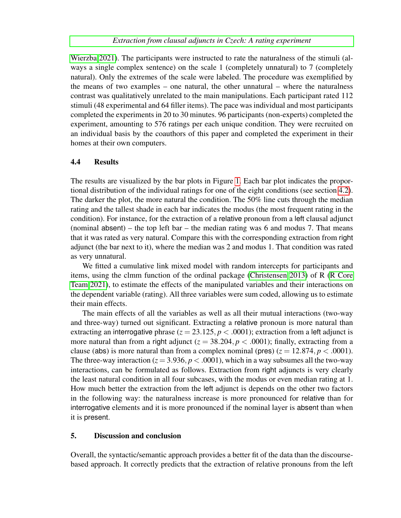[Wierzba 2021\)](#page-13-7). The participants were instructed to rate the naturalness of the stimuli (always a single complex sentence) on the scale 1 (completely unnatural) to 7 (completely natural). Only the extremes of the scale were labeled. The procedure was exemplified by the means of two examples – one natural, the other unnatural – where the naturalness contrast was qualitatively unrelated to the main manipulations. Each participant rated 112 stimuli (48 experimental and 64 filler items). The pace was individual and most participants completed the experiments in 20 to 30 minutes. 96 participants (non-experts) completed the experiment, amounting to 576 ratings per each unique condition. They were recruited on an individual basis by the coauthors of this paper and completed the experiment in their homes at their own computers.

### 4.4 Results

The results are visualized by the bar plots in Figure [1.](#page-9-0) Each bar plot indicates the proportional distribution of the individual ratings for one of the eight conditions (see section [4.2\)](#page-6-1). The darker the plot, the more natural the condition. The 50% line cuts through the median rating and the tallest shade in each bar indicates the modus (the most frequent rating in the condition). For instance, for the extraction of a relative pronoun from a left clausal adjunct (nominal absent) – the top left bar – the median rating was  $6$  and modus 7. That means that it was rated as very natural. Compare this with the corresponding extraction from right adjunct (the bar next to it), where the median was 2 and modus 1. That condition was rated as very unnatural.

We fitted a cumulative link mixed model with random intercepts for participants and items, using the clmm function of the ordinal package [\(Christensen 2013\)](#page-11-13) of R [\(R Core](#page-12-16) [Team 2021\)](#page-12-16), to estimate the effects of the manipulated variables and their interactions on the dependent variable (rating). All three variables were sum coded, allowing us to estimate their main effects.

The main effects of all the variables as well as all their mutual interactions (two-way and three-way) turned out significant. Extracting a relative pronoun is more natural than extracting an interrogative phrase  $(z = 23.125, p < .0001)$ ; extraction from a left adjunct is more natural than from a right adjunct  $(z = 38.204, p < .0001)$ ; finally, extracting from a clause (abs) is more natural than from a complex nominal (pres)  $(z = 12.874, p < .0001)$ . The three-way interaction ( $z = 3.936$ ,  $p < .0001$ ), which in a way subsumes all the two-way interactions, can be formulated as follows. Extraction from right adjuncts is very clearly the least natural condition in all four subcases, with the modus or even median rating at 1. How much better the extraction from the left adjunct is depends on the other two factors in the following way: the naturalness increase is more pronounced for relative than for interrogative elements and it is more pronounced if the nominal layer is absent than when it is present.

#### <span id="page-8-0"></span>5. Discussion and conclusion

Overall, the syntactic/semantic approach provides a better fit of the data than the discoursebased approach. It correctly predicts that the extraction of relative pronouns from the left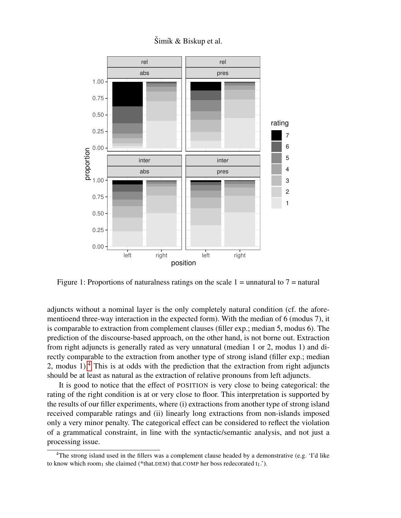

 $\text{Simf } \& \text{ Biskup}$  et al.

<span id="page-9-0"></span>Figure 1: Proportions of naturalness ratings on the scale  $1 =$  unnatural to  $7 =$  natural

adjuncts without a nominal layer is the only completely natural condition (cf. the aforementioend three-way interaction in the expected form). With the median of 6 (modus 7), it is comparable to extraction from complement clauses (filler exp.; median 5, modus 6). The prediction of the discourse-based approach, on the other hand, is not borne out. Extraction from right adjuncts is generally rated as very unnatural (median 1 or 2, modus 1) and directly comparable to the extraction from another type of strong island (filler exp.; median 2, modus 1).<sup>[4](#page-9-1)</sup> This is at odds with the prediction that the extraction from right adjuncts should be at least as natural as the extraction of relative pronouns from left adjuncts.

It is good to notice that the effect of POSITION is very close to being categorical: the rating of the right condition is at or very close to floor. This interpretation is supported by the results of our filler experiments, where (i) extractions from another type of strong island received comparable ratings and (ii) linearly long extractions from non-islands imposed only a very minor penalty. The categorical effect can be considered to reflect the violation of a grammatical constraint, in line with the syntactic/semantic analysis, and not just a processing issue.

<span id="page-9-1"></span><sup>4</sup>The strong island used in the fillers was a complement clause headed by a demonstrative (e.g. 'I'd like to know which room<sub>1</sub> she claimed (\*that.DEM) that.COMP her boss redecorated  $t_1$ .').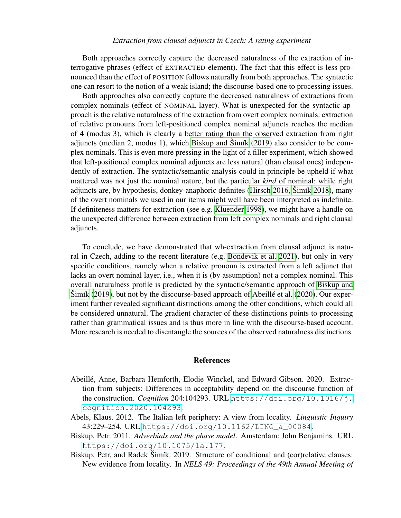#### *Extraction from clausal adjuncts in Czech: A rating experiment*

Both approaches correctly capture the decreased naturalness of the extraction of interrogative phrases (effect of EXTRACTED element). The fact that this effect is less pronounced than the effect of POSITION follows naturally from both approaches. The syntactic one can resort to the notion of a weak island; the discourse-based one to processing issues.

Both approaches also correctly capture the decreased naturalness of extractions from complex nominals (effect of NOMINAL layer). What is unexpected for the syntactic approach is the relative naturalness of the extraction from overt complex nominals: extraction of relative pronouns from left-positioned complex nominal adjuncts reaches the median of 4 (modus 3), which is clearly a better rating than the observed extraction from right adjuncts (median 2, modus 1), which [Biskup and](#page-10-0)  $\text{Simik}$  [\(2019\)](#page-10-0) also consider to be complex nominals. This is even more pressing in the light of a filler experiment, which showed that left-positioned complex nominal adjuncts are less natural (than clausal ones) independently of extraction. The syntactic/semantic analysis could in principle be upheld if what mattered was not just the nominal nature, but the particular *kind* of nominal: while right adjuncts are, by hypothesis, donkey-anaphoric definites [\(Hirsch 2016,](#page-12-17) Šimík [2018\)](#page-13-8), many of the overt nominals we used in our items might well have been interpreted as indefinite. If definiteness matters for extraction (see e.g. [Kluender 1998\)](#page-12-3), we might have a handle on the unexpected difference between extraction from left complex nominals and right clausal adjuncts.

To conclude, we have demonstrated that wh-extraction from clausal adjunct is natural in Czech, adding to the recent literature (e.g. [Bondevik et al. 2021\)](#page-11-4), but only in very specific conditions, namely when a relative pronoun is extracted from a left adjunct that lacks an overt nominal layer, i.e., when it is (by assumption) not a complex nominal. This overall naturalness profile is predicted by the syntactic/semantic approach of [Biskup and](#page-10-0)  $\text{Simik } (2019)$  $\text{Simik } (2019)$ , but not by the discourse-based approach of Abeillé et al. [\(2020\)](#page-10-1). Our experiment further revealed significant distinctions among the other conditions, which could all be considered unnatural. The gradient character of these distinctions points to processing rather than grammatical issues and is thus more in line with the discourse-based account. More research is needed to disentangle the sources of the observed naturalness distinctions.

#### References

- <span id="page-10-1"></span>Abeille, Anne, Barbara Hemforth, Elodie Winckel, and Edward Gibson. 2020. Extrac- ´ tion from subjects: Differences in acceptability depend on the discourse function of the construction. *Cognition* 204:104293. URL [https://doi.org/10.1016/j.](https://doi.org/10.1016/j.cognition.2020.104293) [cognition.2020.104293](https://doi.org/10.1016/j.cognition.2020.104293).
- <span id="page-10-2"></span>Abels, Klaus. 2012. The Italian left periphery: A view from locality. *Linguistic Inquiry* 43:229–254. URL [https://doi.org/10.1162/LING\\_a\\_00084](https://doi.org/10.1162/LING_a_00084).
- <span id="page-10-3"></span>Biskup, Petr. 2011. *Adverbials and the phase model*. Amsterdam: John Benjamins. URL <https://doi.org/10.1075/la.177>.
- <span id="page-10-0"></span>Biskup, Petr, and Radek Šimík. 2019. Structure of conditional and (cor)relative clauses: New evidence from locality. In *NELS 49: Proceedings of the 49th Annual Meeting of*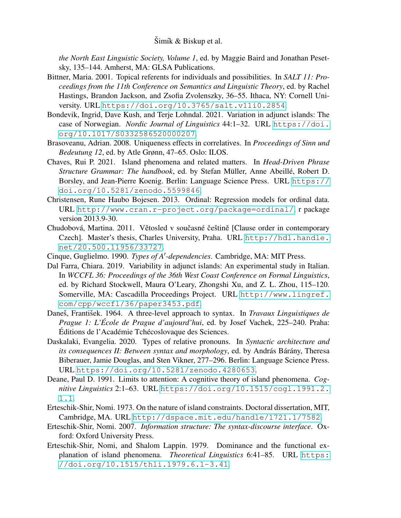*the North East Linguistic Society, Volume 1*, ed. by Maggie Baird and Jonathan Pesetsky, 135–144. Amherst, MA: GLSA Publications.

- <span id="page-11-9"></span>Bittner, Maria. 2001. Topical referents for individuals and possibilities. In *SALT 11: Proceedings from the 11th Conference on Semantics and Linguistic Theory*, ed. by Rachel Hastings, Brandon Jackson, and Zsofia Zvolenszky, 36–55. Ithaca, NY: Cornell University. URL <https://doi.org/10.3765/salt.v11i0.2854>.
- <span id="page-11-4"></span>Bondevik, Ingrid, Dave Kush, and Terje Lohndal. 2021. Variation in adjunct islands: The case of Norwegian. *Nordic Journal of Linguistics* 44:1–32. URL [https://doi.](https://doi.org/10.1017/S0332586520000207) [org/10.1017/S0332586520000207](https://doi.org/10.1017/S0332586520000207).
- <span id="page-11-10"></span>Brasoveanu, Adrian. 2008. Uniqueness effects in correlatives. In *Proceedings of Sinn und Bedeutung 12*, ed. by Atle Grønn, 47–65. Oslo: ILOS.
- <span id="page-11-2"></span>Chaves, Rui P. 2021. Island phenomena and related matters. In *Head-Driven Phrase Structure Grammar: The handbook*, ed. by Stefan Müller, Anne Abeillé, Robert D. Borsley, and Jean-Pierre Koenig. Berlin: Language Science Press. URL [https://](https://doi.org/10.5281/zenodo.5599846) [doi.org/10.5281/zenodo.5599846](https://doi.org/10.5281/zenodo.5599846).
- <span id="page-11-13"></span>Christensen, Rune Haubo Bojesen. 2013. Ordinal: Regression models for ordinal data. URL <http://www.cran.r-project.org/package=ordinal/>, r package version 2013.9-30.
- <span id="page-11-8"></span>Chudobová, Martina. 2011. Větosled v současné češtině [Clause order in contemporary Czech]. Master's thesis, Charles University, Praha. URL [http://hdl.handle.](http://hdl.handle.net/20.500.11956/33727) [net/20.500.11956/33727](http://hdl.handle.net/20.500.11956/33727).
- <span id="page-11-0"></span>Cinque, Guglielmo. 1990. Types of A'-dependencies. Cambridge, MA: MIT Press.
- <span id="page-11-3"></span>Dal Farra, Chiara. 2019. Variability in adjunct islands: An experimental study in Italian. In *WCCFL 36: Proceedings of the 36th West Coast Conference on Formal Linguistics*, ed. by Richard Stockwell, Maura O'Leary, Zhongshi Xu, and Z. L. Zhou, 115–120. Somerville, MA: Cascadilla Proceedings Project. URL [http://www.lingref.](http://www.lingref.com/cpp/wccfl/36/paper3453.pdf) [com/cpp/wccfl/36/paper3453.pdf](http://www.lingref.com/cpp/wccfl/36/paper3453.pdf).
- <span id="page-11-7"></span>Daneš, František. 1964. A three-level approach to syntax. In *Travaux Linguistiques de Prague 1: L'École de Prague d'aujourd'hui*, ed. by Josef Vachek, 225–240. Praha: Éditions de l'Académie Tchécoslovaque des Sciences.
- <span id="page-11-11"></span>Daskalaki, Evangelia. 2020. Types of relative pronouns. In *Syntactic architecture and its consequences II: Between syntax and morphology*, ed. by András Bárány, Theresa Biberauer, Jamie Douglas, and Sten Vikner, 277–296. Berlin: Language Science Press. URL <https://doi.org/10.5281/zenodo.4280653>.
- <span id="page-11-1"></span>Deane, Paul D. 1991. Limits to attention: A cognitive theory of island phenomena. *Cognitive Linguistics* 2:1–63. URL [https://doi.org/10.1515/cogl.1991.2.](https://doi.org/10.1515/cogl.1991.2.1.1) [1.1](https://doi.org/10.1515/cogl.1991.2.1.1).
- <span id="page-11-5"></span>Erteschik-Shir, Nomi. 1973. On the nature of island constraints. Doctoral dissertation, MIT, Cambridge, MA. URL <http://dspace.mit.edu/handle/1721.1/7582>.
- <span id="page-11-6"></span>Erteschik-Shir, Nomi. 2007. *Information structure: The syntax-discourse interface*. Oxford: Oxford University Press.
- <span id="page-11-12"></span>Erteschik-Shir, Nomi, and Shalom Lappin. 1979. Dominance and the functional explanation of island phenomena. *Theoretical Linguistics* 6:41–85. URL [https:](https://doi.org/10.1515/thli.1979.6.1-3.41) [//doi.org/10.1515/thli.1979.6.1-3.41](https://doi.org/10.1515/thli.1979.6.1-3.41).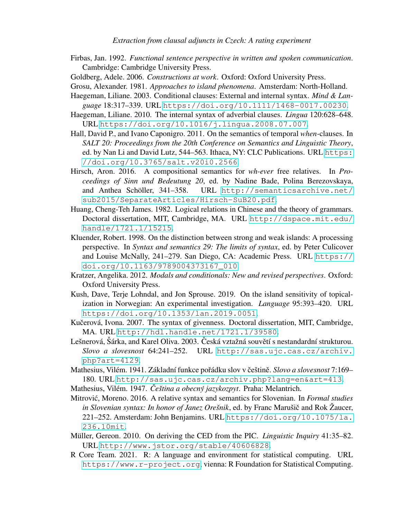- <span id="page-12-11"></span>Firbas, Jan. 1992. *Functional sentence perspective in written and spoken communication*. Cambridge: Cambridge University Press.
- <span id="page-12-8"></span>Goldberg, Adele. 2006. *Constructions at work*. Oxford: Oxford University Press.
- <span id="page-12-2"></span>Grosu, Alexander. 1981. *Approaches to island phenomena*. Amsterdam: North-Holland.
- <span id="page-12-5"></span>Haegeman, Liliane. 2003. Conditional clauses: External and internal syntax. *Mind & Language* 18:317–339. URL <https://doi.org/10.1111/1468-0017.00230>.
- <span id="page-12-6"></span>Haegeman, Liliane. 2010. The internal syntax of adverbial clauses. *Lingua* 120:628–648. URL <https://doi.org/10.1016/j.lingua.2008.07.007>.
- <span id="page-12-13"></span>Hall, David P., and Ivano Caponigro. 2011. On the semantics of temporal *when-*clauses. In *SALT 20: Proceedings from the 20th Conference on Semantics and Linguistic Theory*, ed. by Nan Li and David Lutz, 544–563. Ithaca, NY: CLC Publications. URL [https:](https://doi.org/10.3765/salt.v20i0.2566) [//doi.org/10.3765/salt.v20i0.2566](https://doi.org/10.3765/salt.v20i0.2566).
- <span id="page-12-17"></span>Hirsch, Aron. 2016. A compositional semantics for *wh-ever* free relatives. In *Proceedings of Sinn und Bedeutung 20*, ed. by Nadine Bade, Polina Berezovskaya, and Anthea Schöller, 341-358. URL [http://semanticsarchive.net/](http://semanticsarchive.net/sub2015/SeparateArticles/Hirsch-SuB20.pdf) [sub2015/SeparateArticles/Hirsch-SuB20.pdf](http://semanticsarchive.net/sub2015/SeparateArticles/Hirsch-SuB20.pdf).
- <span id="page-12-1"></span>Huang, Cheng-Teh James. 1982. Logical relations in Chinese and the theory of grammars. Doctoral dissertation, MIT, Cambridge, MA. URL [http://dspace.mit.edu/](http://dspace.mit.edu/handle/1721.1/15215) [handle/1721.1/15215](http://dspace.mit.edu/handle/1721.1/15215).
- <span id="page-12-3"></span>Kluender, Robert. 1998. On the distinction between strong and weak islands: A processing perspective. In *Syntax and semantics 29: The limits of syntax*, ed. by Peter Culicover and Louise McNally, 241–279. San Diego, CA: Academic Press. URL [https://](https://doi.org/10.1163/9789004373167_010) [doi.org/10.1163/9789004373167\\_010](https://doi.org/10.1163/9789004373167_010).
- <span id="page-12-14"></span>Kratzer, Angelika. 2012. *Modals and conditionals: New and revised perspectives*. Oxford: Oxford University Press.
- <span id="page-12-4"></span>Kush, Dave, Terje Lohndal, and Jon Sprouse. 2019. On the island sensitivity of topicalization in Norwegian: An experimental investigation. *Language* 95:393–420. URL <https://doi.org/10.1353/lan.2019.0051>.
- <span id="page-12-12"></span>Kučerová, Ivona. 2007. The syntax of givenness. Doctoral dissertation, MIT, Cambridge, MA. URL <http://hdl.handle.net/1721.1/39580>.
- <span id="page-12-0"></span>Lešnerová, Šárka, and Karel Oliva. 2003. Česká vztažná souvětí s nestandardní strukturou. *Slovo a slovesnost* 64:241–252. URL [http://sas.ujc.cas.cz/archiv.](http://sas.ujc.cas.cz/archiv.php?art=4129) [php?art=4129](http://sas.ujc.cas.cz/archiv.php?art=4129).
- <span id="page-12-9"></span>Mathesius, Vilém. 1941. Základní funkce pořádku slov v češtině. Slovo a slovesnost 7:169– 180. URL <http://sas.ujc.cas.cz/archiv.php?lang=en&art=413>.
- <span id="page-12-10"></span>Mathesius, Vilém. 1947. Čeština a obecný jazykozpyt. Praha: Melantrich.
- <span id="page-12-15"></span>Mitrović, Moreno. 2016. A relative syntax and semantics for Slovenian. In *Formal studies in Slovenian syntax: In honor of Janez Orešnik*, ed. by Franc Marušič and Rok Žaucer, 221–252. Amsterdam: John Benjamins. URL [https://doi.org/10.1075/la.](https://doi.org/10.1075/la.236.10mit) [236.10mit](https://doi.org/10.1075/la.236.10mit).
- <span id="page-12-7"></span>Müller, Gereon. 2010. On deriving the CED from the PIC. *Linguistic Inquiry* 41:35–82. URL <http://www.jstor.org/stable/40606828>.
- <span id="page-12-16"></span>R Core Team. 2021. R: A language and environment for statistical computing. URL <https://www.r-project.org>, vienna: R Foundation for Statistical Computing.